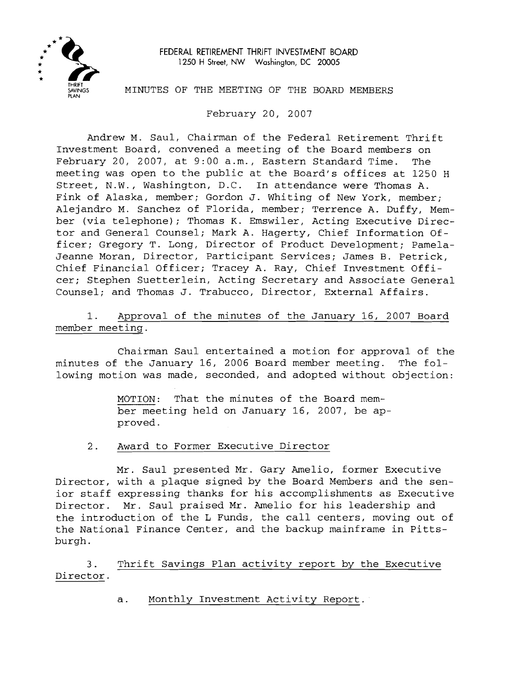

FEDERAL RETIREMENT THRIFT INVESTMENT BOARD **1250** H Street, NW Washington, DC **20005** 

MINUTES OF THE MEETING OF THE BOARD MEMBERS

February 20, 2007

Andrew M. Saul, Chairman of the Federal Retirement Thrift Investment Board, convened a meeting of the Board members on February 20, 2007, at 9:00 a.m., Eastern Standard Time. The meeting was open to the public at the Board's offices at 1250 H Street, N.W., Washington, D.C. In attendance were Thomas A. Fink of Alaska, member; Gordon J. Whiting of New York, member; Alejandro M. Sanchez of Florida, member; Terrence A. Duffy, Mem ber (via telephone); Thomas K. Emswiler, Acting Executive Direc tor and General Counsel; Mark A. Hagerty, Chief Information Of ficer; Gregory T. Long, Director of Product Development; Pamela- Jeanne Moran, Director, Participant Services; James B. Petrick, Chief Financial Officer; Tracey A. Ray, Chief Investment Offi cer; Stephen Suetterlein, Acting Secretary and Associate General Counsel; and Thomas J. Trabucco, Director, External Affairs.

1. Approval of the minutes of the January 16, 2007 Board member meeting.

Chairman Saul entertained a motion for approval of the minutes of the January 16, 2006 Board member meeting. The fol lowing motion was made, seconded, and adopted without objection:

> MOTION: That the minutes of the Board mem ber meeting held on January 16, 2007, be ap proved.

2. Award to Former Executive Director

Mr. Saul presented Mr. Gary Amelio, former Executive Director, with a plaque signed by the Board Members and the sen ior staff expressing thanks for his accomplishments as Executive Director. Mr. Saul praised Mr. Amelio for his leadership and the introduction of the L Funds, the call centers, moving out of the National Finance Center, and the backup mainframe in Pitts burgh.

3. Thrift Savings Plan activity report by the Executive Director.

a. Monthly Investment Activity Report.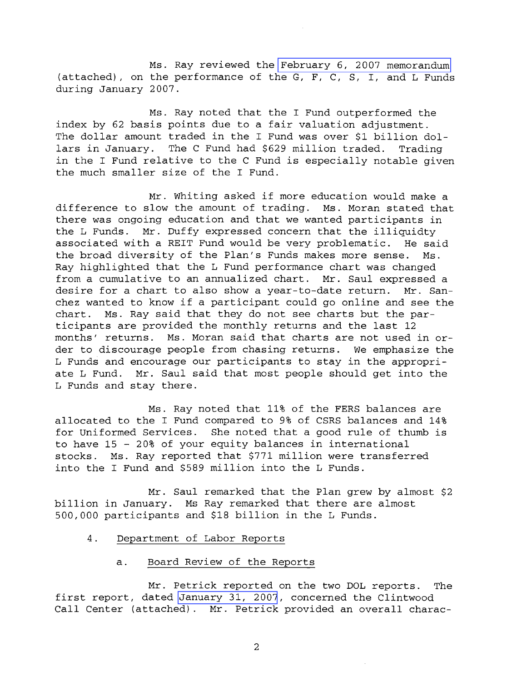Ms. Ray reviewed the February 6, 2007 memorandum (attached), on the performance of the G, F, C, S, I, and L Funds during January 2007.

Ms. Ray noted that the I Fund outperformed the index by 62 basis points due to a fair valuation adjustment. The dollar amount traded in the I Fund was over \$1 billion dollars in January. The C Fund had \$629 million traded. Trading in the I Fund relative to the C Fund is especially notable given the much smaller size of the I Fund.

Mr. Whiting asked if more education would make a difference to slow the amount of trading. Ms. Moran stated that there was ongoing education and that we wanted participants in the L Funds. Mr. Duffy expressed concern that the illiquidty associated with a REIT Fund would be very problematic. He said the broad diversity of the Plan's Funds makes more sense. Ms. Ray highlighted that the L Fund performance chart was changed from a cumulative to an annualized chart. Mr. Saul expressed a desire for a chart to also show a year-to-date return. Mr. San chez wanted to know if a participant could go online and see the chart. MS. Ray said that they do not see charts but the par ticipants are provided the monthly returns and the last 12 months' returns. Ms. Moran said that charts are not used in or der to discourage people from chasing returns. We emphasize the L Funds and encourage our participants to stay in the appropri ate L Fund. Mr. Saul said that most people should get into the L Funds and stay there.

Ms. Ray noted that 11% of the FERS balances are allocated to the I Fund compared to 9% of CSRS balances and 14% for Uniformed Services. She noted that a good rule of thumb is to have 15 - 20% of your equity balances in international stocks. Ms. Ray reported that \$771 million were transferred into the I Fund and \$589 million into the L Funds.

Mr. Saul remarked that the Plan grew by almost \$2 billion in January. Ms Ray remarked that there are almost 500,000 participants and \$18 billion in the L Funds.

- 4. Department of Labor Reports
	- a. Board Review of the Reports

Mr. Petrick reported on the two DOL reports. The first report, dated January 31, 2007, concerned the Clintwood Call Center (attached). Mr. Petrick provided an overall charac-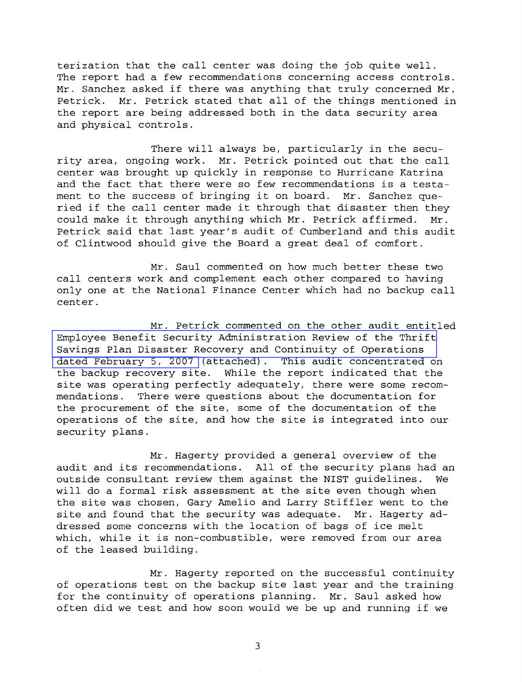terization that the call center was doing the job quite well. The report had a few recommendations concerning access controls. Mr. Sanchez asked if there was anything that truly concerned Mr. Petrick. Mr. Petrick stated that all of the things mentioned in the report are being addressed both in the data security area and physical controls.

There will always be, particularly in the secu rity area, ongoing work. Mr. Petrick pointed out that the call center was brought up quickly in response to Hurricane Katrina and the fact that there were so few recommendations is a testa ment to the success of bringing it on board. Mr. Sanchez que ried if the call center made it through that disaster then they could make it through anything which Mr. Petrick affirmed. Mr. Petrick said that last year's audit of Cumberland and this audit of Clintwood should give the Board a great deal of comfort.

Mr. Saul commented on how much better these two call centers work and complement each other compared to having only one at the National Finance Center which had no backup call center.

Mr. Petrick commented on the other audit entitled Employee Benefit Security Administration Review of the Thrift Savings Plan Disaster Recovery and Continuity of Operations dated February 5, 2007 (attached). This audit concentrated on the backup recovery site. While the report indicated that the site was operating perfectly adequately, there were some recom mendations. There were questions about the documentation for the procurement of the site, some of the documentation of the operations of the site, and how the site is integrated into our security plans.

Mr. Hagerty provided a general overview of the audit and its recommendations. All of the security plans had an outside consultant review them against the NIST guidelines. We will do a formal risk assessment at the site even though when the site was chosen, Gary Amelio and Larry Stiffler went to the site and found that the security was adequate. Mr. Hagerty ad dressed some concerns with the location of bags of ice melt which, while it is non-combustible, were removed from our area of the leased building.

Mr. Hagerty reported on the successful continuity of operations test on the backup site last year and the training for the continuity of operations planning. Mr. Saul asked how often did we test and how soon would we be up and running if we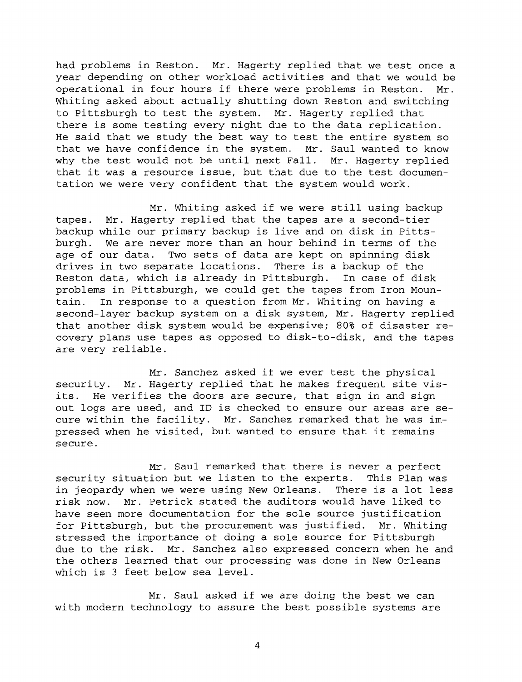had problems in Reston. Mr. Hagerty replied that we test once a year depending on other workload activities and that we would be operational in four hours if there were problems in Reston. Mr. Whiting asked about actually shutting down Reston and switching to Pittsburgh to test the system. Mr. Hagerty replied that there is some testing every night due to the data replication. He said that we study the best way to test the entire system so that we have confidence in the system. Mr. Saul wanted to know why the test would not be until next Fall. Mr. Hagerty replied that it was a resource issue, but that due to the test documen tation we were very confident that the system would work.

Mr. Whiting asked if we were still using backup tapes. Mr. Hagerty replied that the tapes are a second-tier backup while our primary backup is live and on disk in Pitts burgh. We are never more than an hour behind in terms of the age of our data. Two sets of data are kept on spinning disk drives in two separate locations. There is a backup of the Reston data, which is already in Pittsburgh. In case of disk problems in Pittsburgh, we could get the tapes from Iron Moun tain. In response to a question from Mr. Whiting on having a second-layer backup system on a disk system, Mr. Hagerty replied that another disk system would be expensive; 80% of disaster re covery plans use tapes as opposed to disk-to-disk, and the tapes are very reliable.

Mr. Sanchez asked if we ever test the physical security. Mr. Hagerty replied that he makes frequent site vis its. He verifies the doors are secure, that sign in and sign out logs are used, and ID is checked to ensure our areas are se cure within the facility. Mr. Sanchez remarked that he was im pressed when he visited, but wanted to ensure that it remains secure.

Mr. Saul remarked that there is never a perfect security situation but we listen to the experts. This Plan was in jeopardy when we were using New Orleans. There is a lot less risk now. Mr. Petrick stated the auditors would have liked to have seen more documentation for the sole source justification for Pittsburgh, but the procurement was justified. Mr. Whiting stressed the importance of doing a sole source for Pittsburgh due to the risk. Mr. Sanchez also expressed concern when he and the others learned that our processing was done in New Orleans which is 3 feet below sea level.

Mr. Saul asked if we are doing the best we can with modern technology to assure the best possible systems are

 $\bf 4$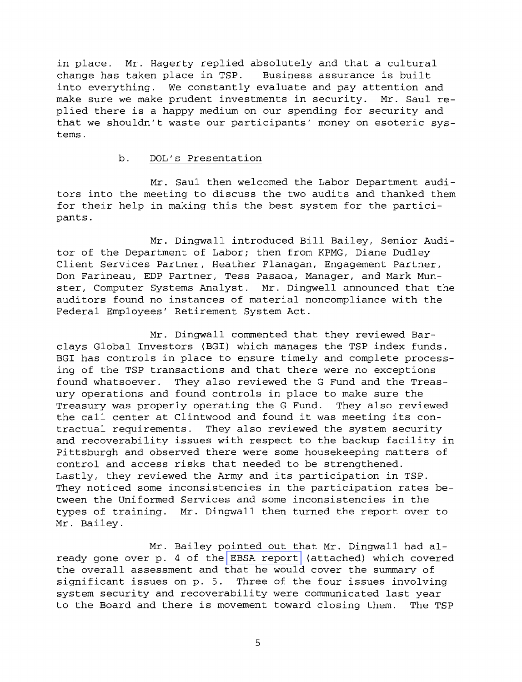in place. Mr. Hagerty replied absolutely and that a cultural change has taken place in TSP. Business assurance is built into everything. We constantly evaluate and pay attention and make sure we make prudent investments in security. Mr. Saul re plied there is a happy medium on our spending for security and that we shouldn't waste our participants' money on esoteric sys tems.

## b. DOL's Presentation

Mr. Saul then welcomed the Labor Department audi tors into the meeting to discuss the two audits and thanked them for their help in making this the best system for the partici pants.

Mr. Dingwall introduced Bill Bailey, Senior Audi tor of the Department of Labor; then from KPMG, Diane Dudley Client Services Partner, Heather Flanagan, Engagement Partner, Don Farineau, EDP Partner, Tess Pasaoa, Manager, and Mark Mun ster, Computer Systems Analyst. Mr. Dingwell announced that the auditors found no instances of material noncompliance with the Federal Employees' Retirement System Act.

Mr. Dingwall commented that they reviewed Bar clays Global Investors (BGI) which manages the TSP index funds. BGI has controls in place to ensure timely and complete process ing of the TSP transactions and that there were no exceptions found whatsoever. They also reviewed the G Fund and the Treas ury operations and found controls in place to make sure the Treasury was properly operating the G Fund. They also reviewed the call center at Clintwood and found it was meeting its con tractual requirements. They also reviewed the system security and recoverability issues with respect to the backup facility in Pittsburgh and observed there were some housekeeping matters of control and access risks that needed to be strengthened. Lastly, they reviewed the Army and its participation in TSP. They noticed some inconsistencies in the participation rates be tween the Uniformed Services and some inconsistencies in the types of training. Mr. Dingwall then turned the report over to Mr. Bailey.

Mr. Bailey pointed out that Mr. Dingwall had al ready gone over p. 4 of the EBSA report (attached) which covered the overall assessment and that he would cover the summary of significant issues on p. 5. Three of the four issues involving system security and recoverability were communicated last year to the Board and there is movement toward closing them. The TSP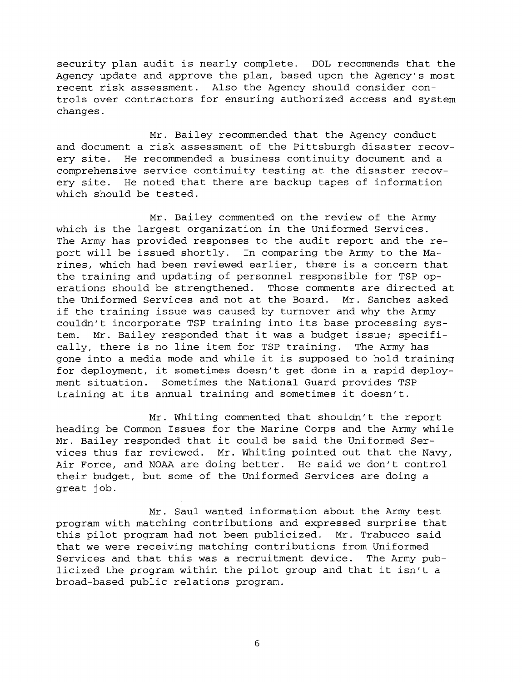security plan audit is nearly complete. DOL recommends that the Agency update and approve the plan, based upon the Agency's most recent risk assessment. Also the Agency should consider con trols over contractors for ensuring authorized access and system changes.

Mr. Bailey recommended that the Agency conduct and document a risk assessment of the Pittsburgh disaster recov ery site. He recommended a business continuity document and a comprehensive service continuity testing at the disaster recov ery site. He noted that there are backup tapes of information which should be tested.

Mr. Bailey commented on the review of the Army which is the largest organization in the Uniformed Services. The Army has provided responses to the audit report and the re port will be issued shortly. In comparing the Army to the Ma rines, which had been reviewed earlier, there is a concern that the training and updating of personnel responsible for TSP op erations should be strengthened. Those comments are directed at the Uniformed Services and not at the Board. Mr. Sanchez asked if the training issue was caused by turnover and why the Army couldn't incorporate TSP training into its base processing sys tem. Mr. Bailey responded that it was a budget issue; specifi cally, there is no line item for TSP training. The Army has gone into a media mode and while it is supposed to hold training for deployment, it sometimes doesn't get done in a rapid deploy ment situation. Sometimes the National Guard provides TSP training at its annual training and sometimes it doesn't.

Mr. Whiting commented that shouldn't the report heading be Common Issues for the Marine Corps and the Army while Mr. Bailey responded that it could be said the Uniformed Ser vices thus far reviewed. Mr. Whiting pointed out that the Navy, Air Force, and NOAA are doing better. He said we don't control their budget, but some of the Uniformed Services are doing a great job.

Mr. Saul wanted information about the Army test program with matching contributions and expressed surprise that this pilot program had not been publicized. Mr. Trabucco said that we were receiving matching contributions from Uniformed Services and that this was a recruitment device. The Army pub licized the program within the pilot group and that it isn't a broad-based public relations program.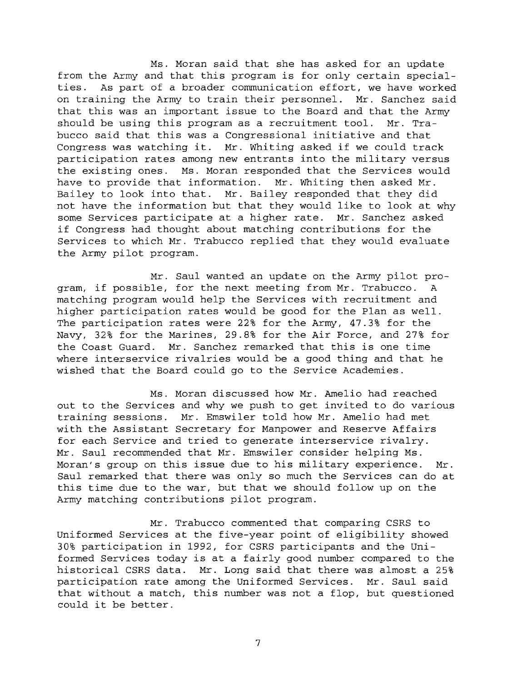Ms. Moran said that she has asked for an update from the Army and that this program is for only certain special ties. As part of a broader communication effort, we have worked on training the Army to train their personnel. Mr. Sanchez said that this was an important issue to the Board and that the Army should be using this program as a recruitment tool. Mr. Tra bucco said that this was a Congressional initiative and that Congress was watching it. Mr. Whiting asked if we could track participation rates among new entrants into the military versus the existing ones. Ms. Moran responded that the Services would have to provide that information. Mr. Whiting then asked Mr. Bailey to look into that. Mr. Bailey responded that they did not have the information but that they would like to look at why some Services participate at a higher rate. Mr. Sanchez asked if Congress had thought about matching contributions for the Services to which Mr. Trabucco replied that they would evaluate the Army pilot program.

Mr. Saul wanted an update on the Army pilot pro gram, if possible, for the next meeting from Mr. Trabucco. A matching program would help the Services with recruitment and higher participation rates would be good for the Plan as well. The participation rates were 22% for the Army, 47.3% for the Navy, 32% for the Marines, 29.8% for the Air Force, and 27% for the Coast Guard. Mr. Sanchez remarked that this is one time where interservice rivalries would be a good thing and that he wished that the Board could go to the Service Academies.

Ms. Moran discussed how Mr. Amelio had reached out to the Services and why we push to get invited to do various training sessions. Mr. Emswiler told how Mr. Amelio had met with the Assistant Secretary for Manpower and Reserve Affairs for each Service and tried to generate interservice rivalry. Mr. Saul recommended that Mr. Emswiler consider helping Ms. Moran's group on this issue due to his military experience. Mr. Saul remarked that there was only so much the Services can do at this time due to the war, but that we should follow up on the Army matching contributions pilot program.

Mr. Trabucco commented that comparing CSRS to Uniformed Services at the five-year point of eligibility showed 30% participation in 1992, for CSRS participants and the Uni formed Services today is at a fairly good number compared to the historical CSRS data. Mr. Long said that there was almost a 25% participation rate among the Uniformed Services. Mr. Saul said that without a match, this number was not a flop, but questioned could it be better.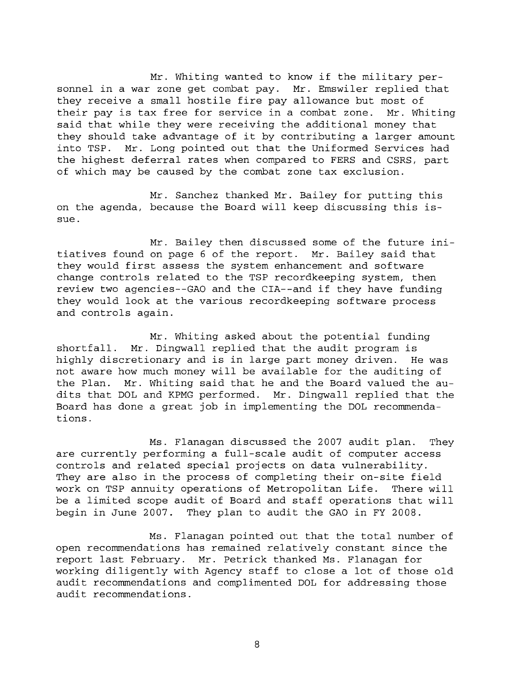Mr. Whiting wanted to know if the military per sonnel in a war zone get combat pay. Mr. Emswiler replied that they receive a small hostile fire pay allowance but most of their pay is tax free for service in a combat zone. Mr. Whiting said that while they were receiving the additional money that they should take advantage of it by contributing a larger amount into TSP. Mr. Long pointed out that the Uniformed Services had the highest deferral rates when compared to FERS and CSRS, part of which may be caused by the combat zone tax exclusion.

Mr. Sanchez thanked Mr. Bailey for putting this on the agenda, because the Board will keep discussing this is sue.

Mr. Bailey then discussed some of the future ini tiatives found on page 6 of the report. Mr. Bailey said that they would first assess the system enhancement and software change controls related to the TSP recordkeeping system, then review two agencies--GA0 and the CIA--and if they have funding they would look at the various recordkeeping software process and controls again.

Mr. Whiting asked about the potential funding shortfall. Mr. Dingwall replied that the audit program is highly discretionary and is in large part money driven. He was not aware how much money will be available for the auditing of the Plan. Mr. Whiting said that he and the Board valued the au dits that DOL and KPMG performed. Mr. Dingwall replied that the Board has done a great job in implementing the DOL recommenda tions.

Ms. Flanagan discussed the 2007 audit plan. They are currently performing a full-scale audit of computer access controls and related special projects on data vulnerability. They are also in the process of completing their on-site field work on TSP annuity operations of Metropolitan Life. There will be a limited scope audit of Board and staff operations that will begin in June 2007. They plan to audit the GAO in FY 2008.

Ms. Flanagan pointed out that the total number of open recommendations has remained relatively constant since the report last February. Mr. Petrick thanked Ms. Flanagan for working diligently with Agency staff to close a lot of those old audit recommendations and complimented DOL for addressing those audit recommendations.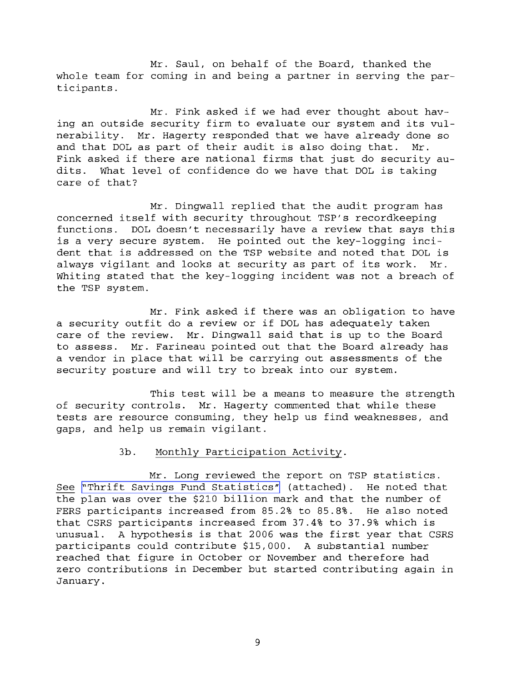Mr. Saul, on behalf of the Board, thanked the whole team for coming in and being a partner in serving the par ticipants.

Mr. Fink asked if we had ever thought about hav ing an outside security firm to evaluate our system and its vul nerability. Mr. Hagerty responded that we have already done so and that DOL as part of their audit is also doing that. Mr. Fink asked if there are national firms that just do security au dits. What level of confidence do we have that DOL is taking care of that?

Mr. Dingwall replied that the audit program has concerned itself with security throughout TSP's recordkeeping functions. DOL doesn't necessarily have a review that says this is a very secure system. He pointed out the key-logging inci dent that is addressed on the TSP website and noted that DOL is always vigilant and looks at security as part of its work. Mr. Whiting stated that the key-logging incident was not a breach of the TSP system.

Mr. Fink asked if there was an obligation to have a security outfit do a review or if DOL has adequately taken care of the review. Mr. Dingwall said that is up to the Board to assess. Mr. Farineau pointed out that the Board already has a vendor in place that will be carrying out assessments of the security posture and will try to break into our system.

This test will be a means to measure the strength of security controls. Mr. Hagerty commented that while these tests are resource consuming, they help us find weaknesses, and gaps, and help us remain vigilant.

## 3b. Monthly Participation Activity.

Mr. Long reviewed the report on TSP statistics. 3b. Monthly Participation Activity.<br>
Mr. Long reviewed the report on TSP statistics.<br>
See "Thrift Savings Fund Statistics" (attached). He noted that<br>
the plan was over the \$210 billion mark and that the number of See "Thrift Savings Fund Statistics" (attached). He noted that FERS participants increased from 85.2% to 85.8%. He also noted that CSRS participants increased from 37.4% to 37.9% which is unusual. A hypothesis is that 2006 was the first year that CSRS participants could contribute \$15,000. A substantial number reached that figure in October or November and therefore had zero contributions in December but started contributing again in January.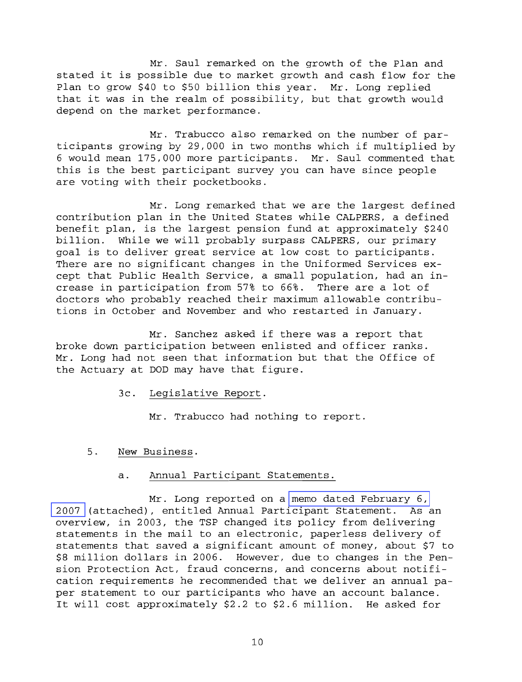Mr. Saul remarked on the growth of the Plan and stated it is possible due to market growth and cash flow for the Plan to grow \$40 to \$50 billion this year. Mr. Long replied that it was in the realm of possibility, but that growth would depend on the market performance.

Mr. Trabucco also remarked on the number of par ticipants growing by 29,000 in two months which if multiplied by 6 would mean 175,000 more participants. Mr. Saul commented that this is the best participant survey you can have since people are voting with their pocketbooks.

Mr. Long remarked that we are the largest defined contribution plan in the United States while CALPERS, a defined benefit plan, is the largest pension fund at approximately \$240 billion. While we will probably surpass CALPERS, our primary goal is to deliver great service at low cost to participants. There are no significant changes in the Uniformed Services ex cept that Public Health Service, a small population, had an in crease in participation from 57% to 66%. There are a lot of doctors who probably reached their maximum allowable contribu tions in October and November and who restarted in January.

Mr. Sanchez asked if there was a report that broke down participation between enlisted and officer ranks. Mr. Long had not seen that information but that the Office of the Actuary at DOD may have that figure.

3c. Legislative Report.

Mr. Trabucco had nothing to report.

5. New Business.

## a. Annual Participant Statements.

Mr. Long reported on a memo dated February 6, 2007 (attached), entitled Annual Participant Statement. As an overview, in 2003, the TSP changed its policy from delivering statements in the mail to an electronic, paperless delivery of statements that saved a significant amount of money, about \$7 to \$8 million dollars in 2006. However, due to changes in the Pen sion Protection Act, fraud concerns, and concerns about notifi cation requirements he recommended that we deliver an annual pa per statement to our participants who have an account balance. It will cost approximately \$2.2 to \$2.6 million. He asked for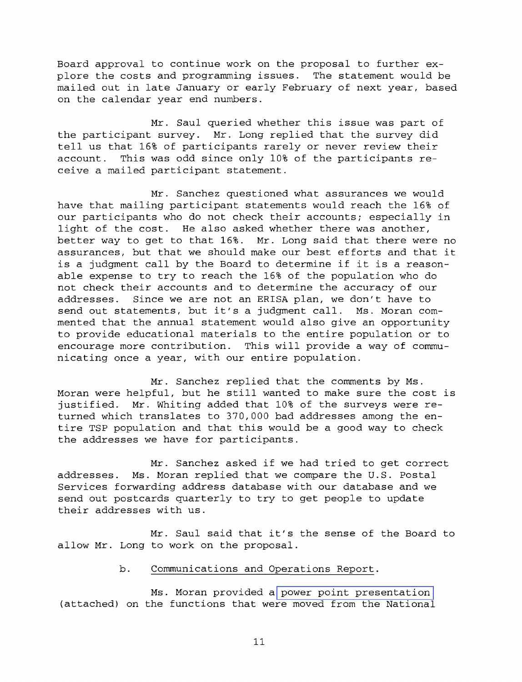Board approval to continue work on the proposal to further ex plore the costs and programming issues. The statement would be mailed out in late January or early February of next year, based on the calendar year end numbers.

Mr. Saul queried whether this issue was part of the participant survey. Mr. Long replied that the survey did tell us that 16% of participants rarely or never review their account. This was odd since only 10% of the participants re ceive a mailed participant statement.

Mr. Sanchez questioned what assurances we would have that mailing participant statements would reach the 16% of our participants who do not check their accounts; especially in light of the cost. He also asked whether there was another, better way to get to that 16%. Mr. Long said that there were no assurances, but that we should make our best efforts and that it is a judgment call by the Board to determine if it is a reason able expense to try to reach the 16% of the population who do not check their accounts and to determine the accuracy of our addresses. Since we are not an ERISA plan, we don't have to send out statements, but it's a judgment call. Ms. Moran com mented that the annual statement would also give an opportunity to provide educational materials to the entire population or to encourage more contribution. This will provide a way of commu nicating once a year, with our entire population.

Mr. Sanchez replied that the comments by Ms. Moran were helpful, but he still wanted to make sure the cost is justified. Mr. Whiting added that 10% of the surveys were re turned which translates to 370,000 bad addresses among the en tire TSP population and that this would be a good way to check the addresses we have for participants.

Mr. Sanchez asked if we had tried to get correct addresses. Ms. Moran replied that we compare the U.S. Postal Services forwarding address database with our database and we send out postcards quarterly to try to get people to update their addresses with us.

Mr. Saul said that it's the sense of the Board to allow Mr. Long to work on the proposal.

## b. Communications and Operations Report.

Ms. Moran provided a power point presentation (attached) on the functions that were moved from the National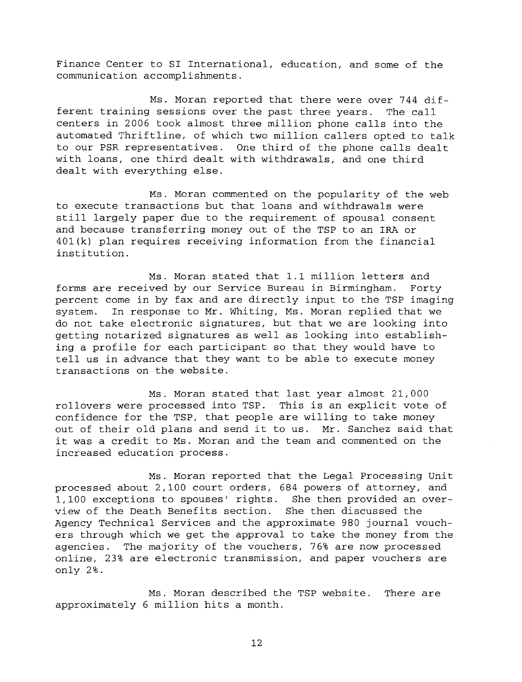Finance Center to SI International, education, and some of the communication accomplishments.

Ms. Moran reported that there were over 744 dif ferent training sessions over the past three years. The call centers in 2006 took almost three million phone calls into the automated Thriftline, of which two million callers opted to talk to our PSR representatives. One third of the phone calls dealt with loans, one third dealt with withdrawals, and one third dealt with everything else.

Ms. Moran commented on the popularity of the web to execute transactions but that loans and withdrawals were still largely paper due to the requirement of spousal consent and because transferring money out of the TSP to an IRA or 401(k) plan requires receiving information from the financial institution.

Ms. Moran stated that 1.1 million letters and forms are received by our Service Bureau in Birmingham. Forty percent come in by fax and are directly input to the TSP imaging system. In response to Mr. Whiting, Ms. Moran replied that we do not take electronic signatures, but that we are looking into getting notarized signatures as well as looking into establish ing a profile for each participant so that they would have to tell us in advance that they want to be able to execute money transactions on the website.

Ms. Moran stated that last year almost 21,000 rollovers were processed into TSP. This is an explicit vote of confidence for the TSP, that people are willing to take money out of their old plans and send it to us. Mr. Sanchez said that it was a credit to Ms. Moran and the team and commented on the increased education process.

Ms. Moran reported that the Legal Processing Unit processed about 2,100 court orders, 684 powers of attorney, and 1,100 exceptions to spouses' rights. She then provided an over view of the Death Benefits section. She then discussed the Agency Technical Services and the approximate 980 journal vouch ers through which we get the approval to take the money from the agencies. The majority of the vouchers, 76% are now processed online, 23% are electronic transmission, and paper vouchers are only 2%.

Ms. Moran described the TSP website. There are approximately 6 million hits a month.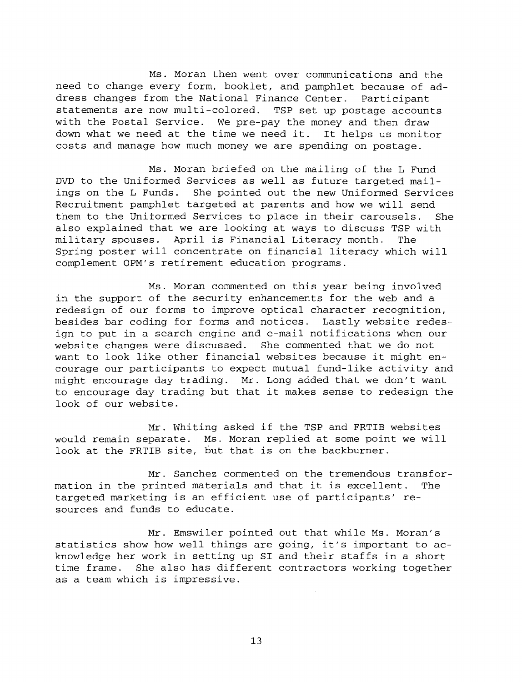Ms. Moran then went over communications and the need to change every form, booklet, and pamphlet because of ad dress changes from the National Finance Center. Participant statements are now multi-colored. TSP set up postage accounts with the Postal Service. We pre-pay the money and then draw down what we need at the time we need it. It helps us monitor costs and manage how much money we are spending on postage.

Ms. Moran briefed on the mailing of the L Fund DVD to the Uniformed Services as well as future targeted mail ings on the L Funds. She pointed out the new Uniformed Services Recruitment pamphlet targeted at parents and how we will send them to the Uniformed Services to place in their carousels. She also explained that we are looking at ways to discuss TSP with military spouses. April is Financial Literacy month. The Spring poster will concentrate on financial literacy which will complement OPM's retirement education programs.

Ms. Moran commented on this year being involved in the support of the security enhancements for the web and a redesign of our forms to improve optical character recognition, besides bar coding for forms and notices. Lastly website redes ign to put in a search engine and e-mail notifications when our website changes were discussed. She commented that we do not want to look like other financial websites because it might en courage our participants to expect mutual fund-like activity and might encourage day trading. Mr. Long added that we don't want to encourage day trading but that it makes sense to redesign the look of our website.

Mr. Whiting asked if the TSP and FRTIB websites would remain separate. Ms. Moran replied at some point we will look at the FRTIB site, but that is on the backburner.

Mr. Sanchez commented on the tremendous transfor mation in the printed materials and that it is excellent. The targeted marketing is an efficient use of participants' re sources and funds to educate.

Mr. Emswiler pointed out that while Ms. Moran's statistics show how well things are going, it's important to ac knowledge her work in setting up SI and their staffs in a short time frame. She also has different contractors working together as a team which is impressive.